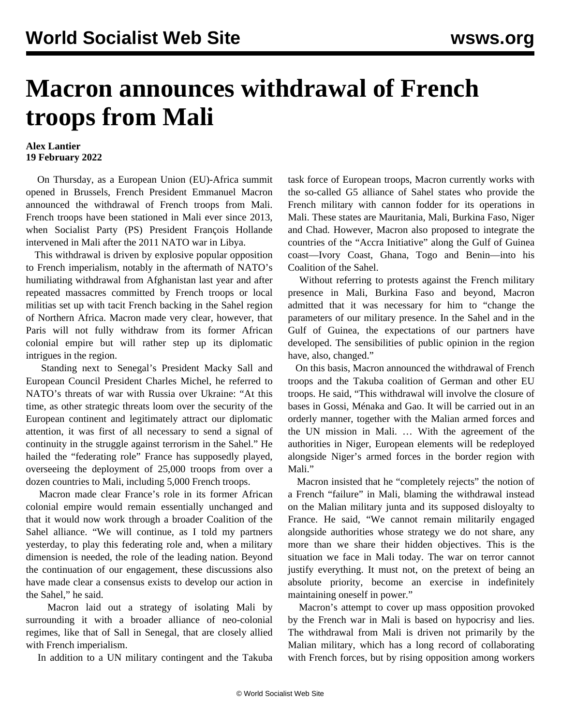## **Macron announces withdrawal of French troops from Mali**

## **Alex Lantier 19 February 2022**

 On Thursday, as a European Union (EU)-Africa summit opened in Brussels, French President Emmanuel Macron announced the withdrawal of French troops from Mali. French troops have been stationed in Mali ever since 2013, when Socialist Party (PS) President François Hollande intervened in Mali after the 2011 NATO war in Libya.

 This withdrawal is driven by explosive popular opposition to French imperialism, notably in the aftermath of NATO's humiliating withdrawal from Afghanistan last year and after repeated massacres committed by French troops or local militias set up with tacit French backing in the Sahel region of Northern Africa. Macron made very clear, however, that Paris will not fully withdraw from its former African colonial empire but will rather step up its diplomatic intrigues in the region.

 Standing next to Senegal's President Macky Sall and European Council President Charles Michel, he referred to NATO's threats of war with Russia over Ukraine: "At this time, as other strategic threats loom over the security of the European continent and legitimately attract our diplomatic attention, it was first of all necessary to send a signal of continuity in the struggle against terrorism in the Sahel." He hailed the "federating role" France has supposedly played, overseeing the deployment of 25,000 troops from over a dozen countries to Mali, including 5,000 French troops.

 Macron made clear France's role in its former African colonial empire would remain essentially unchanged and that it would now work through a broader Coalition of the Sahel alliance. "We will continue, as I told my partners yesterday, to play this federating role and, when a military dimension is needed, the role of the leading nation. Beyond the continuation of our engagement, these discussions also have made clear a consensus exists to develop our action in the Sahel," he said.

 Macron laid out a strategy of isolating Mali by surrounding it with a broader alliance of neo-colonial regimes, like that of Sall in Senegal, that are closely allied with French imperialism.

In addition to a UN military contingent and the Takuba

task force of European troops, Macron currently works with the so-called G5 alliance of Sahel states who provide the French military with cannon fodder for its operations in Mali. These states are Mauritania, Mali, Burkina Faso, Niger and Chad. However, Macron also proposed to integrate the countries of the "Accra Initiative" along the Gulf of Guinea coast—Ivory Coast, Ghana, Togo and Benin—into his Coalition of the Sahel.

 Without referring to protests against the French military presence in Mali, Burkina Faso and beyond, Macron admitted that it was necessary for him to "change the parameters of our military presence. In the Sahel and in the Gulf of Guinea, the expectations of our partners have developed. The sensibilities of public opinion in the region have, also, changed."

 On this basis, Macron announced the withdrawal of French troops and the Takuba coalition of German and other EU troops. He said, "This withdrawal will involve the closure of bases in Gossi, Ménaka and Gao. It will be carried out in an orderly manner, together with the Malian armed forces and the UN mission in Mali. … With the agreement of the authorities in Niger, European elements will be redeployed alongside Niger's armed forces in the border region with Mali."

 Macron insisted that he "completely rejects" the notion of a French "failure" in Mali, blaming the withdrawal instead on the Malian military junta and its supposed disloyalty to France. He said, "We cannot remain militarily engaged alongside authorities whose strategy we do not share, any more than we share their hidden objectives. This is the situation we face in Mali today. The war on terror cannot justify everything. It must not, on the pretext of being an absolute priority, become an exercise in indefinitely maintaining oneself in power."

 Macron's attempt to cover up mass opposition provoked by the French war in Mali is based on hypocrisy and lies. The withdrawal from Mali is driven not primarily by the Malian military, which has a long record of collaborating with French forces, but by rising opposition among workers